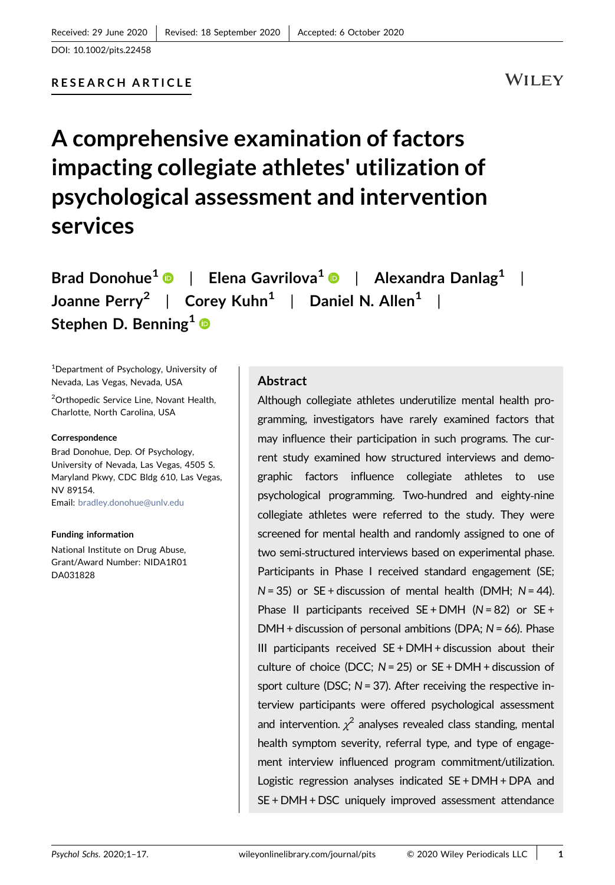# RESEARCH ARTICLE

# WILEY

# A comprehensive examination of factors impacting collegiate athletes' utilization of psychological assessment and intervention services

Brad Donohue<sup>[1](http://orcid.org/0000-0003-1261-0749)</sup>  $\bullet$  | Elena Gavrilova<sup>1</sup>  $\bullet$  | Alexandra Danlag<sup>1</sup> Joanne Perry<sup>2</sup> | Corey Kuhn<sup>1</sup> | Daniel N. Allen<sup>1</sup> Stephen D. Benning<sup>1</sup>

1 Department of Psychology, University of Nevada, Las Vegas, Nevada, USA

2 Orthopedic Service Line, Novant Health, Charlotte, North Carolina, USA

#### Correspondence

Brad Donohue, Dep. Of Psychology, University of Nevada, Las Vegas, 4505 S. Maryland Pkwy, CDC Bldg 610, Las Vegas, NV 89154. Email: [bradley.donohue@unlv.edu](mailto:bradley.donohue@unlv.edu)

#### Funding information

National Institute on Drug Abuse, Grant/Award Number: NIDA1R01 DA031828

#### **Abstract**

Although collegiate athletes underutilize mental health programming, investigators have rarely examined factors that may influence their participation in such programs. The current study examined how structured interviews and demographic factors influence collegiate athletes to use psychological programming. Two‐hundred and eighty‐nine collegiate athletes were referred to the study. They were screened for mental health and randomly assigned to one of two semi‐structured interviews based on experimental phase. Participants in Phase I received standard engagement (SE;  $N = 35$ ) or SE + discussion of mental health (DMH;  $N = 44$ ). Phase II participants received  $SE + DMH$  (N = 82) or  $SE +$ DMH + discussion of personal ambitions (DPA;  $N = 66$ ). Phase III participants received SE + DMH + discussion about their culture of choice (DCC;  $N = 25$ ) or  $SE + DMH +$  discussion of sport culture (DSC;  $N = 37$ ). After receiving the respective interview participants were offered psychological assessment and intervention.  $\chi^2$  analyses revealed class standing, mental health symptom severity, referral type, and type of engagement interview influenced program commitment/utilization. Logistic regression analyses indicated SE + DMH + DPA and SE + DMH + DSC uniquely improved assessment attendance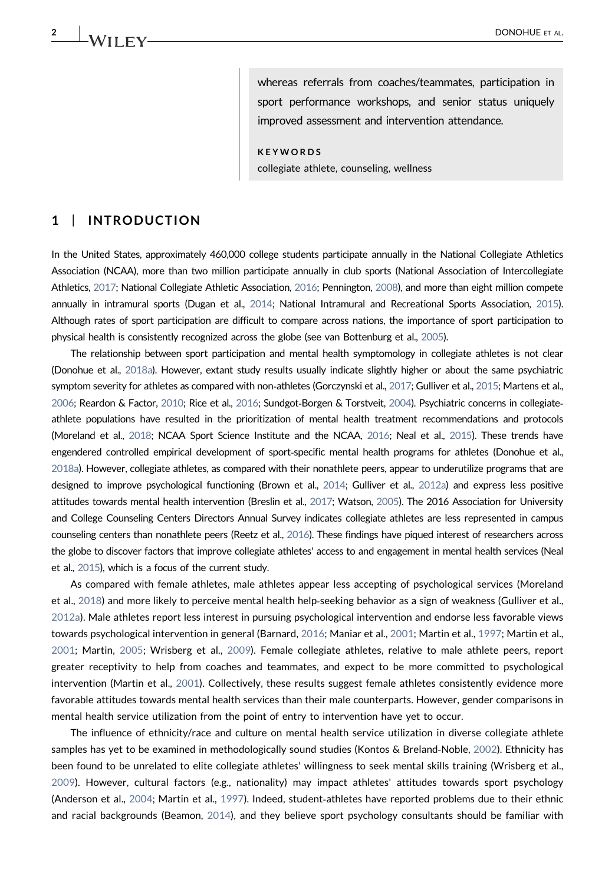whereas referrals from coaches/teammates, participation in sport performance workshops, and senior status uniquely improved assessment and intervention attendance.

KEYWORDS collegiate athlete, counseling, wellness

# 1 | INTRODUCTION

In the United States, approximately 460,000 college students participate annually in the National Collegiate Athletics Association (NCAA), more than two million participate annually in club sports (National Association of Intercollegiate Athletics, [2017](#page-15-0); National Collegiate Athletic Association, [2016;](#page-15-1) Pennington, [2008\)](#page-16-0), and more than eight million compete annually in intramural sports (Dugan et al., [2014;](#page-14-0) National Intramural and Recreational Sports Association, [2015](#page-15-2)). Although rates of sport participation are difficult to compare across nations, the importance of sport participation to physical health is consistently recognized across the globe (see van Bottenburg et al., [2005\)](#page-16-1).

The relationship between sport participation and mental health symptomology in collegiate athletes is not clear (Donohue et al., [2018a](#page-14-1)). However, extant study results usually indicate slightly higher or about the same psychiatric symptom severity for athletes as compared with non-athletes (Gorczynski et al., [2017](#page-14-2); Gulliver et al., [2015;](#page-14-3) Martens et al., [2006](#page-15-3); Reardon & Factor, [2010;](#page-16-2) Rice et al., [2016;](#page-16-3) Sundgot‐Borgen & Torstveit, [2004](#page-16-4)). Psychiatric concerns in collegiate‐ athlete populations have resulted in the prioritization of mental health treatment recommendations and protocols (Moreland et al., [2018](#page-15-4); NCAA Sport Science Institute and the NCAA, [2016](#page-15-5); Neal et al., [2015](#page-15-6)). These trends have engendered controlled empirical development of sport‐specific mental health programs for athletes (Donohue et al., [2018a\)](#page-14-1). However, collegiate athletes, as compared with their nonathlete peers, appear to underutilize programs that are designed to improve psychological functioning (Brown et al., [2014](#page-14-4); Gulliver et al., [2012a](#page-14-5)) and express less positive attitudes towards mental health intervention (Breslin et al., [2017;](#page-14-6) Watson, [2005](#page-16-5)). The 2016 Association for University and College Counseling Centers Directors Annual Survey indicates collegiate athletes are less represented in campus counseling centers than nonathlete peers (Reetz et al., [2016\)](#page-16-6). These findings have piqued interest of researchers across the globe to discover factors that improve collegiate athletes' access to and engagement in mental health services (Neal et al., [2015\)](#page-15-6), which is a focus of the current study.

As compared with female athletes, male athletes appear less accepting of psychological services (Moreland et al., [2018](#page-15-4)) and more likely to perceive mental health help-seeking behavior as a sign of weakness (Gulliver et al., [2012a](#page-14-5)). Male athletes report less interest in pursuing psychological intervention and endorse less favorable views towards psychological intervention in general (Barnard, [2016;](#page-13-0) Maniar et al., [2001](#page-15-7); Martin et al., [1997](#page-15-8); Martin et al., [2001](#page-15-9); Martin, [2005;](#page-15-10) Wrisberg et al., [2009\)](#page-16-7). Female collegiate athletes, relative to male athlete peers, report greater receptivity to help from coaches and teammates, and expect to be more committed to psychological intervention (Martin et al., [2001](#page-15-9)). Collectively, these results suggest female athletes consistently evidence more favorable attitudes towards mental health services than their male counterparts. However, gender comparisons in mental health service utilization from the point of entry to intervention have yet to occur.

The influence of ethnicity/race and culture on mental health service utilization in diverse collegiate athlete samples has yet to be examined in methodologically sound studies (Kontos & Breland‐Noble, [2002\)](#page-15-11). Ethnicity has been found to be unrelated to elite collegiate athletes' willingness to seek mental skills training (Wrisberg et al., [2009](#page-16-7)). However, cultural factors (e.g., nationality) may impact athletes' attitudes towards sport psychology (Anderson et al., [2004](#page-13-1); Martin et al., [1997](#page-15-8)). Indeed, student‐athletes have reported problems due to their ethnic and racial backgrounds (Beamon, [2014\)](#page-13-2), and they believe sport psychology consultants should be familiar with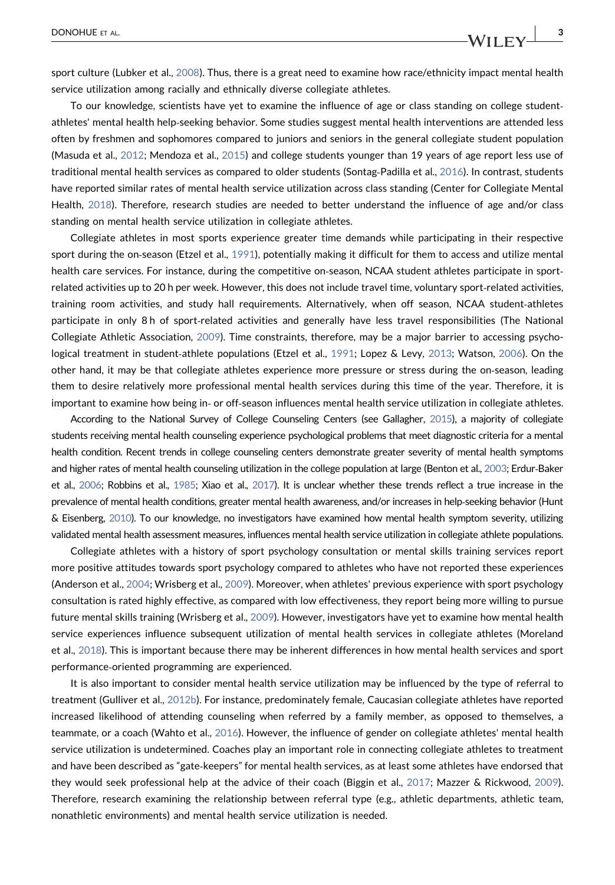sport culture (Lubker et al., [2008](#page-15-12)). Thus, there is a great need to examine how race/ethnicity impact mental health service utilization among racially and ethnically diverse collegiate athletes.

To our knowledge, scientists have yet to examine the influence of age or class standing on college student‐ athletes' mental health help‐seeking behavior. Some studies suggest mental health interventions are attended less often by freshmen and sophomores compared to juniors and seniors in the general collegiate student population (Masuda et al., [2012;](#page-15-13) Mendoza et al., [2015](#page-15-14)) and college students younger than 19 years of age report less use of traditional mental health services as compared to older students (Sontag-Padilla et al., [2016](#page-16-8)). In contrast, students have reported similar rates of mental health service utilization across class standing (Center for Collegiate Mental Health, [2018](#page-14-7)). Therefore, research studies are needed to better understand the influence of age and/or class standing on mental health service utilization in collegiate athletes.

Collegiate athletes in most sports experience greater time demands while participating in their respective sport during the on-season (Etzel et al., [1991](#page-14-8)), potentially making it difficult for them to access and utilize mental health care services. For instance, during the competitive on-season, NCAA student athletes participate in sportrelated activities up to 20 h per week. However, this does not include travel time, voluntary sport‐related activities, training room activities, and study hall requirements. Alternatively, when off season, NCAA student‐athletes participate in only 8 h of sport‐related activities and generally have less travel responsibilities (The National Collegiate Athletic Association, [2009\)](#page-16-9). Time constraints, therefore, may be a major barrier to accessing psychological treatment in student‐athlete populations (Etzel et al., [1991](#page-14-8); Lopez & Levy, [2013](#page-15-15); Watson, [2006\)](#page-16-10). On the other hand, it may be that collegiate athletes experience more pressure or stress during the on‐season, leading them to desire relatively more professional mental health services during this time of the year. Therefore, it is important to examine how being in‐ or off‐season influences mental health service utilization in collegiate athletes.

According to the National Survey of College Counseling Centers (see Gallagher, [2015](#page-14-9)), a majority of collegiate students receiving mental health counseling experience psychological problems that meet diagnostic criteria for a mental health condition. Recent trends in college counseling centers demonstrate greater severity of mental health symptoms and higher rates of mental health counseling utilization in the college population at large (Benton et al., [2003](#page-13-3); Erdur‐Baker et al., [2006;](#page-14-10) Robbins et al., [1985](#page-16-11); Xiao et al., [2017](#page-16-12)). It is unclear whether these trends reflect a true increase in the prevalence of mental health conditions, greater mental health awareness, and/or increases in help-seeking behavior (Hunt & Eisenberg, [2010](#page-15-16)). To our knowledge, no investigators have examined how mental health symptom severity, utilizing validated mental health assessment measures, influences mental health service utilization in collegiate athlete populations.

Collegiate athletes with a history of sport psychology consultation or mental skills training services report more positive attitudes towards sport psychology compared to athletes who have not reported these experiences (Anderson et al., [2004](#page-13-1); Wrisberg et al., [2009\)](#page-16-7). Moreover, when athletes' previous experience with sport psychology consultation is rated highly effective, as compared with low effectiveness, they report being more willing to pursue future mental skills training (Wrisberg et al., [2009\)](#page-16-7). However, investigators have yet to examine how mental health service experiences influence subsequent utilization of mental health services in collegiate athletes (Moreland et al., [2018](#page-15-4)). This is important because there may be inherent differences in how mental health services and sport performance‐oriented programming are experienced.

It is also important to consider mental health service utilization may be influenced by the type of referral to treatment (Gulliver et al., [2012b\)](#page-14-11). For instance, predominately female, Caucasian collegiate athletes have reported increased likelihood of attending counseling when referred by a family member, as opposed to themselves, a teammate, or a coach (Wahto et al., [2016\)](#page-16-13). However, the influence of gender on collegiate athletes' mental health service utilization is undetermined. Coaches play an important role in connecting collegiate athletes to treatment and have been described as "gate‐keepers" for mental health services, as at least some athletes have endorsed that they would seek professional help at the advice of their coach (Biggin et al., [2017](#page-13-4); Mazzer & Rickwood, [2009](#page-15-17)). Therefore, research examining the relationship between referral type (e.g., athletic departments, athletic team, nonathletic environments) and mental health service utilization is needed.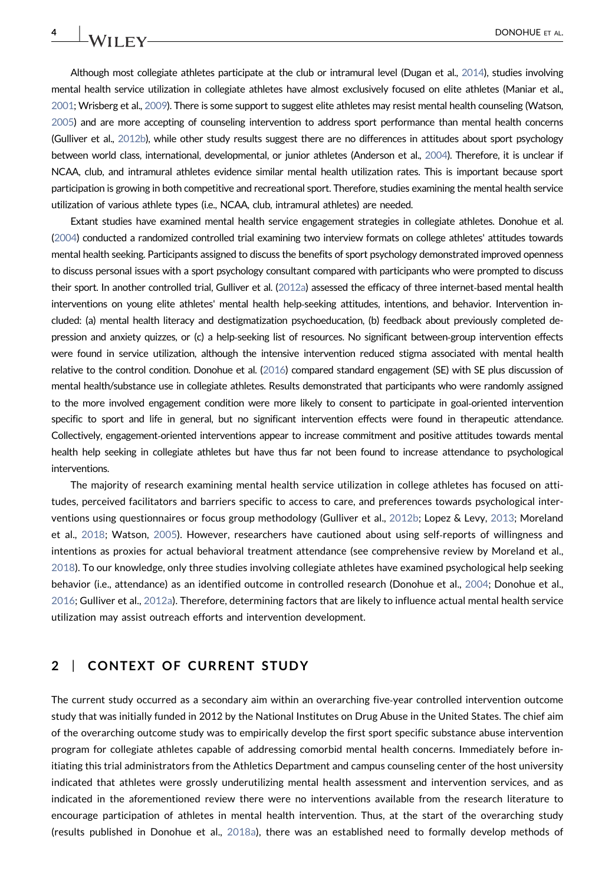Although most collegiate athletes participate at the club or intramural level (Dugan et al., [2014\)](#page-14-0), studies involving mental health service utilization in collegiate athletes have almost exclusively focused on elite athletes (Maniar et al., [2001](#page-15-7); Wrisberg et al., [2009\)](#page-16-7). There is some support to suggest elite athletes may resist mental health counseling (Watson, [2005](#page-16-5)) and are more accepting of counseling intervention to address sport performance than mental health concerns (Gulliver et al., [2012b\)](#page-14-11), while other study results suggest there are no differences in attitudes about sport psychology between world class, international, developmental, or junior athletes (Anderson et al., [2004\)](#page-13-1). Therefore, it is unclear if NCAA, club, and intramural athletes evidence similar mental health utilization rates. This is important because sport participation is growing in both competitive and recreational sport. Therefore, studies examining the mental health service utilization of various athlete types (i.e., NCAA, club, intramural athletes) are needed.

Extant studies have examined mental health service engagement strategies in collegiate athletes. Donohue et al. ([2004](#page-14-12)) conducted a randomized controlled trial examining two interview formats on college athletes' attitudes towards mental health seeking. Participants assigned to discuss the benefits of sport psychology demonstrated improved openness to discuss personal issues with a sport psychology consultant compared with participants who were prompted to discuss their sport. In another controlled trial, Gulliver et al. [\(2012a\)](#page-14-5) assessed the efficacy of three internet‐based mental health interventions on young elite athletes' mental health help-seeking attitudes, intentions, and behavior. Intervention included: (a) mental health literacy and destigmatization psychoeducation, (b) feedback about previously completed depression and anxiety quizzes, or (c) a help-seeking list of resources. No significant between-group intervention effects were found in service utilization, although the intensive intervention reduced stigma associated with mental health relative to the control condition. Donohue et al. [\(2016\)](#page-14-13) compared standard engagement (SE) with SE plus discussion of mental health/substance use in collegiate athletes. Results demonstrated that participants who were randomly assigned to the more involved engagement condition were more likely to consent to participate in goal‐oriented intervention specific to sport and life in general, but no significant intervention effects were found in therapeutic attendance. Collectively, engagement‐oriented interventions appear to increase commitment and positive attitudes towards mental health help seeking in collegiate athletes but have thus far not been found to increase attendance to psychological interventions.

The majority of research examining mental health service utilization in college athletes has focused on attitudes, perceived facilitators and barriers specific to access to care, and preferences towards psychological interventions using questionnaires or focus group methodology (Gulliver et al., [2012b;](#page-14-11) Lopez & Levy, [2013](#page-15-15); Moreland et al., [2018;](#page-15-4) Watson, [2005\)](#page-16-5). However, researchers have cautioned about using self‐reports of willingness and intentions as proxies for actual behavioral treatment attendance (see comprehensive review by Moreland et al., [2018](#page-15-4)). To our knowledge, only three studies involving collegiate athletes have examined psychological help seeking behavior (i.e., attendance) as an identified outcome in controlled research (Donohue et al., [2004](#page-14-12); Donohue et al., [2016](#page-14-13); Gulliver et al., [2012a\)](#page-14-5). Therefore, determining factors that are likely to influence actual mental health service utilization may assist outreach efforts and intervention development.

# 2 | CONTEXT OF CURRENT STUDY

The current study occurred as a secondary aim within an overarching five‐year controlled intervention outcome study that was initially funded in 2012 by the National Institutes on Drug Abuse in the United States. The chief aim of the overarching outcome study was to empirically develop the first sport specific substance abuse intervention program for collegiate athletes capable of addressing comorbid mental health concerns. Immediately before initiating this trial administrators from the Athletics Department and campus counseling center of the host university indicated that athletes were grossly underutilizing mental health assessment and intervention services, and as indicated in the aforementioned review there were no interventions available from the research literature to encourage participation of athletes in mental health intervention. Thus, at the start of the overarching study (results published in Donohue et al., [2018a\)](#page-14-1), there was an established need to formally develop methods of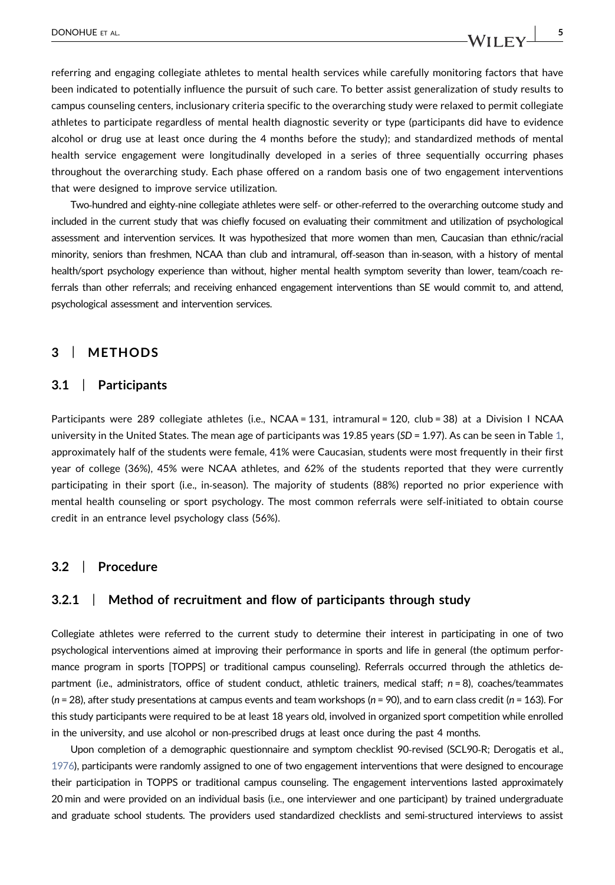referring and engaging collegiate athletes to mental health services while carefully monitoring factors that have been indicated to potentially influence the pursuit of such care. To better assist generalization of study results to campus counseling centers, inclusionary criteria specific to the overarching study were relaxed to permit collegiate athletes to participate regardless of mental health diagnostic severity or type (participants did have to evidence alcohol or drug use at least once during the 4 months before the study); and standardized methods of mental health service engagement were longitudinally developed in a series of three sequentially occurring phases throughout the overarching study. Each phase offered on a random basis one of two engagement interventions that were designed to improve service utilization.

Two‐hundred and eighty‐nine collegiate athletes were self‐ or other‐referred to the overarching outcome study and included in the current study that was chiefly focused on evaluating their commitment and utilization of psychological assessment and intervention services. It was hypothesized that more women than men, Caucasian than ethnic/racial minority, seniors than freshmen, NCAA than club and intramural, off-season than in-season, with a history of mental health/sport psychology experience than without, higher mental health symptom severity than lower, team/coach referrals than other referrals; and receiving enhanced engagement interventions than SE would commit to, and attend, psychological assessment and intervention services.

# 3 | METHODS

# 3.1 | Participants

Participants were 289 collegiate athletes (i.e., NCAA = 131, intramural = 120, club = 38) at a Division I NCAA university in the United States. The mean age of participants was [1](#page-5-0)9.85 years ( $SD = 1.97$ ). As can be seen in Table 1, approximately half of the students were female, 41% were Caucasian, students were most frequently in their first year of college (36%), 45% were NCAA athletes, and 62% of the students reported that they were currently participating in their sport (i.e., in‐season). The majority of students (88%) reported no prior experience with mental health counseling or sport psychology. The most common referrals were self‐initiated to obtain course credit in an entrance level psychology class (56%).

# 3.2 | Procedure

# 3.2.1 | Method of recruitment and flow of participants through study

Collegiate athletes were referred to the current study to determine their interest in participating in one of two psychological interventions aimed at improving their performance in sports and life in general (the optimum performance program in sports [TOPPS] or traditional campus counseling). Referrals occurred through the athletics department (i.e., administrators, office of student conduct, athletic trainers, medical staff; n = 8), coaches/teammates  $(n = 28)$ , after study presentations at campus events and team workshops  $(n = 90)$ , and to earn class credit  $(n = 163)$ . For this study participants were required to be at least 18 years old, involved in organized sport competition while enrolled in the university, and use alcohol or non-prescribed drugs at least once during the past 4 months.

Upon completion of a demographic questionnaire and symptom checklist 90-revised (SCL90-R; Derogatis et al., [1976](#page-14-14)), participants were randomly assigned to one of two engagement interventions that were designed to encourage their participation in TOPPS or traditional campus counseling. The engagement interventions lasted approximately 20 min and were provided on an individual basis (i.e., one interviewer and one participant) by trained undergraduate and graduate school students. The providers used standardized checklists and semi‐structured interviews to assist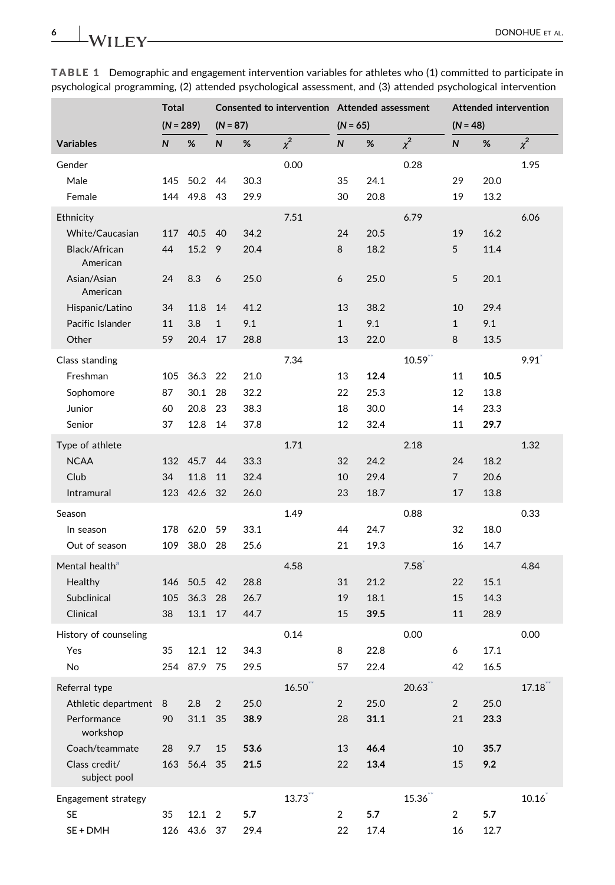|                               | <b>Total</b> |             |              |      | Consented to intervention Attended assessment |                |      |                       |                | <b>Attended intervention</b> |                     |
|-------------------------------|--------------|-------------|--------------|------|-----------------------------------------------|----------------|------|-----------------------|----------------|------------------------------|---------------------|
|                               | $(N = 289)$  |             | $(N = 87)$   |      |                                               | $(N = 65)$     |      |                       | $(N = 48)$     |                              |                     |
| <b>Variables</b>              | N            | %           | ${\sf N}$    | %    | $\chi^2$                                      | N              | %    | $\chi^2$              | N              | %                            | $\chi^2$            |
| Gender                        |              |             |              |      | 0.00                                          |                |      | 0.28                  |                |                              | 1.95                |
| Male                          | 145          | 50.2        | 44           | 30.3 |                                               | 35             | 24.1 |                       | 29             | 20.0                         |                     |
| Female                        |              | 144 49.8 43 |              | 29.9 |                                               | 30             | 20.8 |                       | 19             | 13.2                         |                     |
| Ethnicity                     |              |             |              |      | 7.51                                          |                |      | 6.79                  |                |                              | 6.06                |
| White/Caucasian               | 117          | 40.5        | 40           | 34.2 |                                               | 24             | 20.5 |                       | 19             | 16.2                         |                     |
| Black/African<br>American     | 44           | 15.2        | 9            | 20.4 |                                               | 8              | 18.2 |                       | 5              | 11.4                         |                     |
| Asian/Asian<br>American       | 24           | 8.3         | 6            | 25.0 |                                               | 6              | 25.0 |                       | 5              | 20.1                         |                     |
| Hispanic/Latino               | 34           | 11.8        | 14           | 41.2 |                                               | 13             | 38.2 |                       | 10             | 29.4                         |                     |
| Pacific Islander              | 11           | 3.8         | $\mathbf{1}$ | 9.1  |                                               | $\mathbf{1}$   | 9.1  |                       | $\mathbf{1}$   | 9.1                          |                     |
| Other                         | 59           | 20.4        | 17           | 28.8 |                                               | 13             | 22.0 |                       | 8              | 13.5                         |                     |
| Class standing                |              |             |              |      | 7.34                                          |                |      | $10.59$ <sup>**</sup> |                |                              | $9.91$ <sup>*</sup> |
| Freshman                      | 105          | 36.3        | 22           | 21.0 |                                               | 13             | 12.4 |                       | 11             | 10.5                         |                     |
| Sophomore                     | 87           | 30.1        | 28           | 32.2 |                                               | 22             | 25.3 |                       | 12             | 13.8                         |                     |
| Junior                        | 60           | 20.8        | 23           | 38.3 |                                               | 18             | 30.0 |                       | 14             | 23.3                         |                     |
| Senior                        | 37           | 12.8        | 14           | 37.8 |                                               | 12             | 32.4 |                       | 11             | 29.7                         |                     |
| Type of athlete               |              |             |              |      | 1.71                                          |                |      | 2.18                  |                |                              | 1.32                |
| <b>NCAA</b>                   | 132          | 45.7        | 44           | 33.3 |                                               | 32             | 24.2 |                       | 24             | 18.2                         |                     |
| Club                          | 34           | 11.8        | 11           | 32.4 |                                               | 10             | 29.4 |                       | 7              | 20.6                         |                     |
| Intramural                    | 123          | 42.6        | 32           | 26.0 |                                               | 23             | 18.7 |                       | 17             | 13.8                         |                     |
| Season                        |              |             |              |      | 1.49                                          |                |      | 0.88                  |                |                              | 0.33                |
| In season                     | 178          | 62.0        | 59           | 33.1 |                                               | 44             | 24.7 |                       | 32             | 18.0                         |                     |
| Out of season                 | 109          | 38.0 28     |              | 25.6 |                                               | 21             | 19.3 |                       | 16             | 14.7                         |                     |
| Mental health <sup>a</sup>    |              |             |              |      | 4.58                                          |                |      | 7.58                  |                |                              | 4.84                |
| Healthy                       | 146          | 50.5        | 42           | 28.8 |                                               | 31             | 21.2 |                       | 22             | 15.1                         |                     |
| Subclinical                   | 105          | 36.3        | 28           | 26.7 |                                               | 19             | 18.1 |                       | 15             | 14.3                         |                     |
| Clinical                      | 38           | 13.1        | 17           | 44.7 |                                               | 15             | 39.5 |                       | 11             | 28.9                         |                     |
| History of counseling         |              |             |              |      | 0.14                                          |                |      | 0.00                  |                |                              | 0.00                |
| Yes                           | 35           | 12.1 12     |              | 34.3 |                                               | 8              | 22.8 |                       | 6              | 17.1                         |                     |
| No                            |              | 254 87.9 75 |              | 29.5 |                                               | 57             | 22.4 |                       | 42             | 16.5                         |                     |
| Referral type                 |              |             |              |      | 16.50                                         |                |      | 20.63                 |                |                              | 17.18               |
| Athletic department 8         |              | 2.8         | $\sqrt{2}$   | 25.0 |                                               | $\overline{2}$ | 25.0 |                       | $\overline{2}$ | 25.0                         |                     |
| Performance<br>workshop       | 90           | 31.1        | 35           | 38.9 |                                               | 28             | 31.1 |                       | 21             | 23.3                         |                     |
| Coach/teammate                | 28           | 9.7         | 15           | 53.6 |                                               | 13             | 46.4 |                       | 10             | 35.7                         |                     |
| Class credit/<br>subject pool |              | 163 56.4 35 |              | 21.5 |                                               | 22             | 13.4 |                       | 15             | 9.2                          |                     |
| Engagement strategy           |              |             |              |      | 13.73"                                        |                |      | 15.36**               |                |                              | 10.16               |
| SE                            | 35           | 12.1 2      |              | 5.7  |                                               | $\overline{c}$ | 5.7  |                       | $\overline{2}$ | 5.7                          |                     |
| $SE + DMH$                    |              | 126 43.6 37 |              | 29.4 |                                               | 22             | 17.4 |                       | 16             | 12.7                         |                     |

<span id="page-5-0"></span>TABLE 1 Demographic and engagement intervention variables for athletes who (1) committed to participate in psychological programming, (2) attended psychological assessment, and (3) attended psychological intervention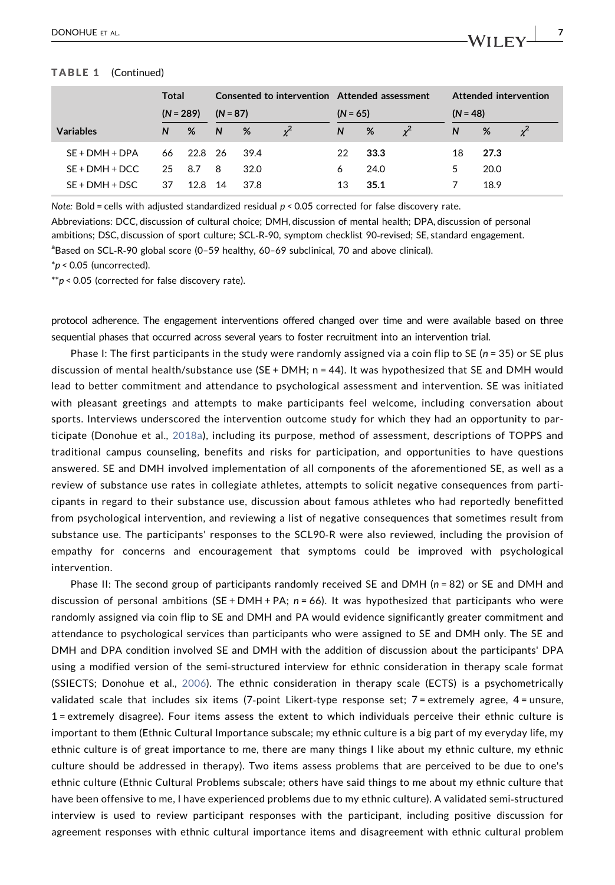#### TABLE 1 (Continued)

|                  | Total       |            | Consented to intervention Attended assessment<br>$(N = 87)$ |       |            |    |      | Attended intervention |    |      |               |
|------------------|-------------|------------|-------------------------------------------------------------|-------|------------|----|------|-----------------------|----|------|---------------|
|                  | $(N = 289)$ |            |                                                             |       | $(N = 65)$ |    |      | $(N = 48)$            |    |      |               |
| <b>Variables</b> | N.          | %          | $\mathsf{N}$                                                | %     |            | N  | %    |                       | N  | %    | $\mathcal{V}$ |
| $SE + DMH + DPA$ |             | 66 22.8 26 |                                                             | -39.4 |            | 22 | 33.3 |                       | 18 | 27.3 |               |
| $SE + DMH + DCC$ | 25 8.7      |            | - 8                                                         | 32.0  |            | 6  | 24.0 |                       | 5  | 20.0 |               |
| $SF + DMH + DSC$ | 37          | 12 R       | 14                                                          | 37.8  |            | 13 | 35.1 |                       |    | 18.9 |               |

Note: Bold = cells with adjusted standardized residual  $p < 0.05$  corrected for false discovery rate.

Abbreviations: DCC, discussion of cultural choice; DMH, discussion of mental health; DPA, discussion of personal ambitions; DSC, discussion of sport culture; SCL‐R‐90, symptom checklist 90‐revised; SE, standard engagement. aBased on SCL-R-90 global score (0-59 healthy, 60-69 subclinical, 70 and above clinical).

<span id="page-6-2"></span><span id="page-6-1"></span>\*p < 0.05 (uncorrected).

<span id="page-6-0"></span> $* p$  < 0.05 (corrected for false discovery rate).

protocol adherence. The engagement interventions offered changed over time and were available based on three sequential phases that occurred across several years to foster recruitment into an intervention trial.

Phase I: The first participants in the study were randomly assigned via a coin flip to SE ( $n = 35$ ) or SE plus discussion of mental health/substance use (SE + DMH; n = 44). It was hypothesized that SE and DMH would lead to better commitment and attendance to psychological assessment and intervention. SE was initiated with pleasant greetings and attempts to make participants feel welcome, including conversation about sports. Interviews underscored the intervention outcome study for which they had an opportunity to participate (Donohue et al., [2018a\)](#page-14-1), including its purpose, method of assessment, descriptions of TOPPS and traditional campus counseling, benefits and risks for participation, and opportunities to have questions answered. SE and DMH involved implementation of all components of the aforementioned SE, as well as a review of substance use rates in collegiate athletes, attempts to solicit negative consequences from participants in regard to their substance use, discussion about famous athletes who had reportedly benefitted from psychological intervention, and reviewing a list of negative consequences that sometimes result from substance use. The participants' responses to the SCL90-R were also reviewed, including the provision of empathy for concerns and encouragement that symptoms could be improved with psychological intervention.

Phase II: The second group of participants randomly received SE and DMH ( $n = 82$ ) or SE and DMH and discussion of personal ambitions (SE + DMH + PA;  $n = 66$ ). It was hypothesized that participants who were randomly assigned via coin flip to SE and DMH and PA would evidence significantly greater commitment and attendance to psychological services than participants who were assigned to SE and DMH only. The SE and DMH and DPA condition involved SE and DMH with the addition of discussion about the participants' DPA using a modified version of the semi‐structured interview for ethnic consideration in therapy scale format (SSIECTS; Donohue et al., [2006\)](#page-14-15). The ethnic consideration in therapy scale (ECTS) is a psychometrically validated scale that includes six items (7-point Likert-type response set; 7 = extremely agree, 4 = unsure, 1 = extremely disagree). Four items assess the extent to which individuals perceive their ethnic culture is important to them (Ethnic Cultural Importance subscale; my ethnic culture is a big part of my everyday life, my ethnic culture is of great importance to me, there are many things I like about my ethnic culture, my ethnic culture should be addressed in therapy). Two items assess problems that are perceived to be due to one's ethnic culture (Ethnic Cultural Problems subscale; others have said things to me about my ethnic culture that have been offensive to me, I have experienced problems due to my ethnic culture). A validated semi‐structured interview is used to review participant responses with the participant, including positive discussion for agreement responses with ethnic cultural importance items and disagreement with ethnic cultural problem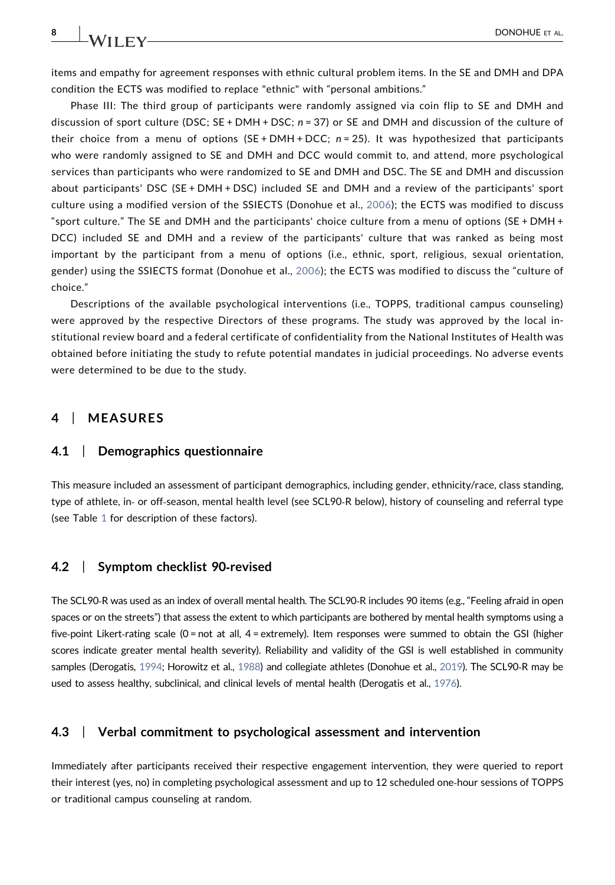items and empathy for agreement responses with ethnic cultural problem items. In the SE and DMH and DPA condition the ECTS was modified to replace "ethnic" with "personal ambitions."

Phase III: The third group of participants were randomly assigned via coin flip to SE and DMH and discussion of sport culture (DSC;  $SE + DMH + DSC$ ;  $n = 37$ ) or SE and DMH and discussion of the culture of their choice from a menu of options (SE + DMH + DCC;  $n = 25$ ). It was hypothesized that participants who were randomly assigned to SE and DMH and DCC would commit to, and attend, more psychological services than participants who were randomized to SE and DMH and DSC. The SE and DMH and discussion about participants' DSC (SE + DMH + DSC) included SE and DMH and a review of the participants' sport culture using a modified version of the SSIECTS (Donohue et al., [2006](#page-14-15)); the ECTS was modified to discuss "sport culture." The SE and DMH and the participants' choice culture from a menu of options (SE + DMH + DCC) included SE and DMH and a review of the participants' culture that was ranked as being most important by the participant from a menu of options (i.e., ethnic, sport, religious, sexual orientation, gender) using the SSIECTS format (Donohue et al., [2006\)](#page-14-15); the ECTS was modified to discuss the "culture of choice."

Descriptions of the available psychological interventions (i.e., TOPPS, traditional campus counseling) were approved by the respective Directors of these programs. The study was approved by the local institutional review board and a federal certificate of confidentiality from the National Institutes of Health was obtained before initiating the study to refute potential mandates in judicial proceedings. No adverse events were determined to be due to the study.

# 4 | MEASURES

## 4.1 | Demographics questionnaire

This measure included an assessment of participant demographics, including gender, ethnicity/race, class standing, type of athlete, in‐ or off‐season, mental health level (see SCL90‐R below), history of counseling and referral type (see Table [1](#page-5-0) for description of these factors).

# 4.2 | Symptom checklist 90-revised

The SCL90‐R was used as an index of overall mental health. The SCL90‐R includes 90 items (e.g., "Feeling afraid in open spaces or on the streets") that assess the extent to which participants are bothered by mental health symptoms using a five-point Likert-rating scale (0 = not at all, 4 = extremely). Item responses were summed to obtain the GSI (higher scores indicate greater mental health severity). Reliability and validity of the GSI is well established in community samples (Derogatis, [1994;](#page-14-16) Horowitz et al., [1988](#page-15-18)) and collegiate athletes (Donohue et al., [2019\)](#page-14-17). The SCL90-R may be used to assess healthy, subclinical, and clinical levels of mental health (Derogatis et al., [1976\)](#page-14-14).

# 4.3 | Verbal commitment to psychological assessment and intervention

Immediately after participants received their respective engagement intervention, they were queried to report their interest (yes, no) in completing psychological assessment and up to 12 scheduled one‐hour sessions of TOPPS or traditional campus counseling at random.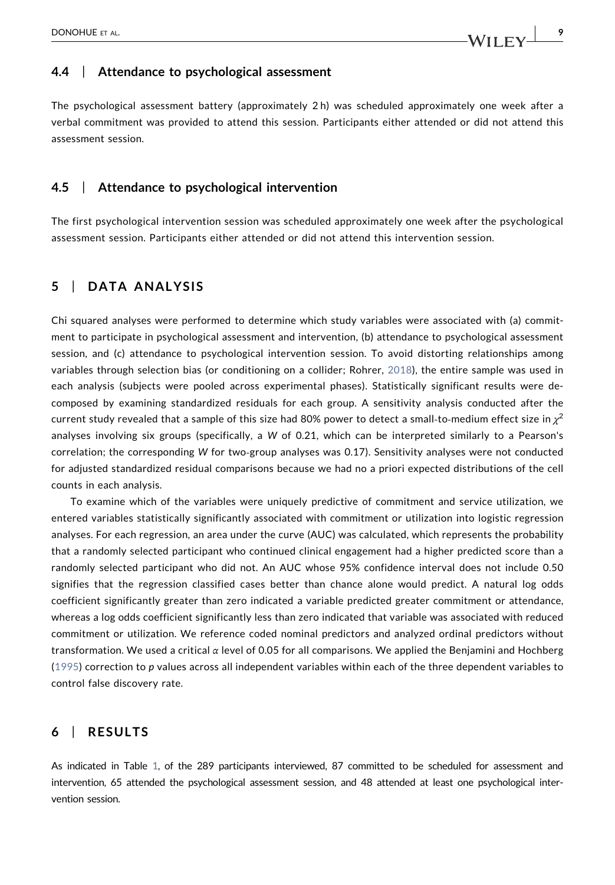# 4.4 | Attendance to psychological assessment

The psychological assessment battery (approximately 2 h) was scheduled approximately one week after a verbal commitment was provided to attend this session. Participants either attended or did not attend this assessment session.

## 4.5 | Attendance to psychological intervention

The first psychological intervention session was scheduled approximately one week after the psychological assessment session. Participants either attended or did not attend this intervention session.

# 5 | DATA ANALYSIS

Chi squared analyses were performed to determine which study variables were associated with (a) commitment to participate in psychological assessment and intervention, (b) attendance to psychological assessment session, and (c) attendance to psychological intervention session. To avoid distorting relationships among variables through selection bias (or conditioning on a collider; Rohrer, [2018\)](#page-16-14), the entire sample was used in each analysis (subjects were pooled across experimental phases). Statistically significant results were decomposed by examining standardized residuals for each group. A sensitivity analysis conducted after the current study revealed that a sample of this size had 80% power to detect a small-to-medium effect size in  $\chi^2$ analyses involving six groups (specifically, a W of 0.21, which can be interpreted similarly to a Pearson's correlation; the corresponding W for two‐group analyses was 0.17). Sensitivity analyses were not conducted for adjusted standardized residual comparisons because we had no a priori expected distributions of the cell counts in each analysis.

To examine which of the variables were uniquely predictive of commitment and service utilization, we entered variables statistically significantly associated with commitment or utilization into logistic regression analyses. For each regression, an area under the curve (AUC) was calculated, which represents the probability that a randomly selected participant who continued clinical engagement had a higher predicted score than a randomly selected participant who did not. An AUC whose 95% confidence interval does not include 0.50 signifies that the regression classified cases better than chance alone would predict. A natural log odds coefficient significantly greater than zero indicated a variable predicted greater commitment or attendance, whereas a log odds coefficient significantly less than zero indicated that variable was associated with reduced commitment or utilization. We reference coded nominal predictors and analyzed ordinal predictors without transformation. We used a critical  $\alpha$  level of 0.05 for all comparisons. We applied the Benjamini and Hochberg  $(1995)$  $(1995)$  $(1995)$  correction to p values across all independent variables within each of the three dependent variables to control false discovery rate.

# 6 | RESULTS

As indicated in Table [1](#page-5-0), of the 289 participants interviewed, 87 committed to be scheduled for assessment and intervention, 65 attended the psychological assessment session, and 48 attended at least one psychological intervention session.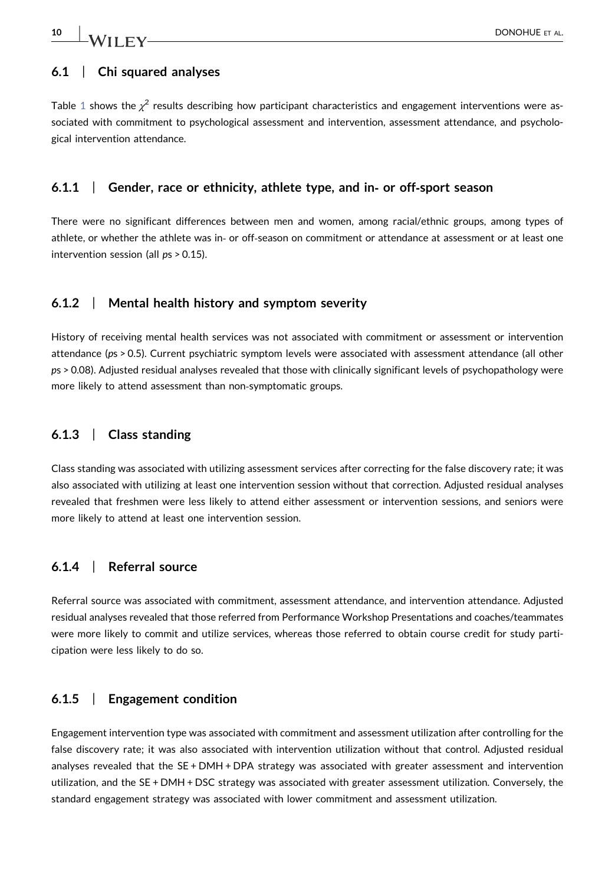

# 6.1 | Chi squared analyses

Table [1](#page-5-0) shows the  $\chi^2$  results describing how participant characteristics and engagement interventions were associated with commitment to psychological assessment and intervention, assessment attendance, and psychological intervention attendance.

#### 6.1.1 | Gender, race or ethnicity, athlete type, and in‐ or off‐sport season

There were no significant differences between men and women, among racial/ethnic groups, among types of athlete, or whether the athlete was in‐ or off‐season on commitment or attendance at assessment or at least one intervention session (all  $ps > 0.15$ ).

# 6.1.2 | Mental health history and symptom severity

History of receiving mental health services was not associated with commitment or assessment or intervention attendance (ps > 0.5). Current psychiatric symptom levels were associated with assessment attendance (all other ps > 0.08). Adjusted residual analyses revealed that those with clinically significant levels of psychopathology were more likely to attend assessment than non‐symptomatic groups.

# 6.1.3 | Class standing

Class standing was associated with utilizing assessment services after correcting for the false discovery rate; it was also associated with utilizing at least one intervention session without that correction. Adjusted residual analyses revealed that freshmen were less likely to attend either assessment or intervention sessions, and seniors were more likely to attend at least one intervention session.

# 6.1.4 | Referral source

Referral source was associated with commitment, assessment attendance, and intervention attendance. Adjusted residual analyses revealed that those referred from Performance Workshop Presentations and coaches/teammates were more likely to commit and utilize services, whereas those referred to obtain course credit for study participation were less likely to do so.

# 6.1.5 | Engagement condition

Engagement intervention type was associated with commitment and assessment utilization after controlling for the false discovery rate; it was also associated with intervention utilization without that control. Adjusted residual analyses revealed that the SE + DMH + DPA strategy was associated with greater assessment and intervention utilization, and the SE + DMH + DSC strategy was associated with greater assessment utilization. Conversely, the standard engagement strategy was associated with lower commitment and assessment utilization.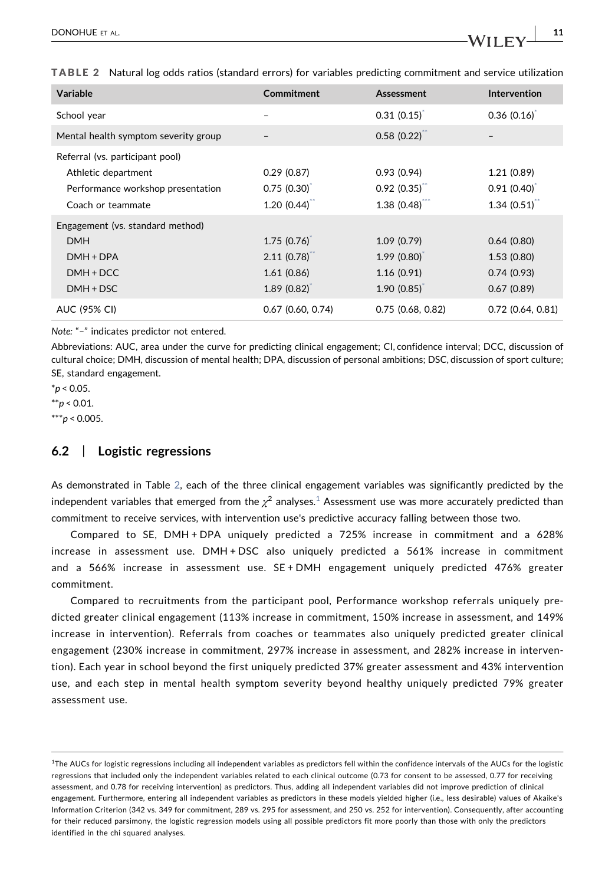| Variable                             | Commitment          | <b>Assessment</b>       | Intervention        |
|--------------------------------------|---------------------|-------------------------|---------------------|
| School year                          |                     | $0.31(0.15)^{^{\circ}}$ | 0.36(0.16)          |
| Mental health symptom severity group |                     | 0.58(0.22)              |                     |
| Referral (vs. participant pool)      |                     |                         |                     |
| Athletic department                  | 0.29(0.87)          | 0.93(0.94)              | 1.21(0.89)          |
| Performance workshop presentation    | 0.75(0.30)          | $0.92(0.35)$ **         | 0.91(0.40)          |
| Coach or teammate                    | 1.20(0.44)          | 1.38(0.48)              | $1.34(0.51)^{11}$   |
| Engagement (vs. standard method)     |                     |                         |                     |
| <b>DMH</b>                           | 1.75(0.76)          | 1.09(0.79)              | 0.64(0.80)          |
| $DMH + DPA$                          | 2.11(0.78)          | 1.99(0.80)              | 1.53(0.80)          |
| $DMH + DCC$                          | 1.61(0.86)          | 1.16(0.91)              | 0.74(0.93)          |
| $DMH + DSC$                          | 1.89(0.82)          | 1.90(0.85)              | 0.67(0.89)          |
| AUC (95% CI)                         | $0.67$ (0.60, 0.74) | $0.75$ (0.68, 0.82)     | $0.72$ (0.64, 0.81) |

<span id="page-10-0"></span>TABLE 2 Natural log odds ratios (standard errors) for variables predicting commitment and service utilization

Note: "–" indicates predictor not entered.

Abbreviations: AUC, area under the curve for predicting clinical engagement; CI, confidence interval; DCC, discussion of cultural choice; DMH, discussion of mental health; DPA, discussion of personal ambitions; DSC, discussion of sport culture; SE, standard engagement.

<span id="page-10-4"></span><span id="page-10-3"></span><span id="page-10-2"></span> $*p < 0.05$ .  $*^{*}p < 0.01$ .  $***p < 0.005$ .

# 6.2 | Logistic regressions

As demonstrated in Table [2](#page-10-0), each of the three clinical engagement variables was significantly predicted by the independent variables that emerged from the  $\chi^2$  analyses.<sup>[1](#page-10-1)</sup> Assessment use was more accurately predicted than commitment to receive services, with intervention use's predictive accuracy falling between those two.

Compared to SE, DMH + DPA uniquely predicted a 725% increase in commitment and a 628% increase in assessment use. DMH + DSC also uniquely predicted a 561% increase in commitment and a 566% increase in assessment use. SE + DMH engagement uniquely predicted 476% greater commitment.

Compared to recruitments from the participant pool, Performance workshop referrals uniquely predicted greater clinical engagement (113% increase in commitment, 150% increase in assessment, and 149% increase in intervention). Referrals from coaches or teammates also uniquely predicted greater clinical engagement (230% increase in commitment, 297% increase in assessment, and 282% increase in intervention). Each year in school beyond the first uniquely predicted 37% greater assessment and 43% intervention use, and each step in mental health symptom severity beyond healthy uniquely predicted 79% greater assessment use.

<span id="page-10-1"></span><sup>&</sup>lt;sup>1</sup>The AUCs for logistic regressions including all independent variables as predictors fell within the confidence intervals of the AUCs for the logistic regressions that included only the independent variables related to each clinical outcome (0.73 for consent to be assessed, 0.77 for receiving assessment, and 0.78 for receiving intervention) as predictors. Thus, adding all independent variables did not improve prediction of clinical engagement. Furthermore, entering all independent variables as predictors in these models yielded higher (i.e., less desirable) values of Akaike's Information Criterion (342 vs. 349 for commitment, 289 vs. 295 for assessment, and 250 vs. 252 for intervention). Consequently, after accounting for their reduced parsimony, the logistic regression models using all possible predictors fit more poorly than those with only the predictors identified in the chi squared analyses.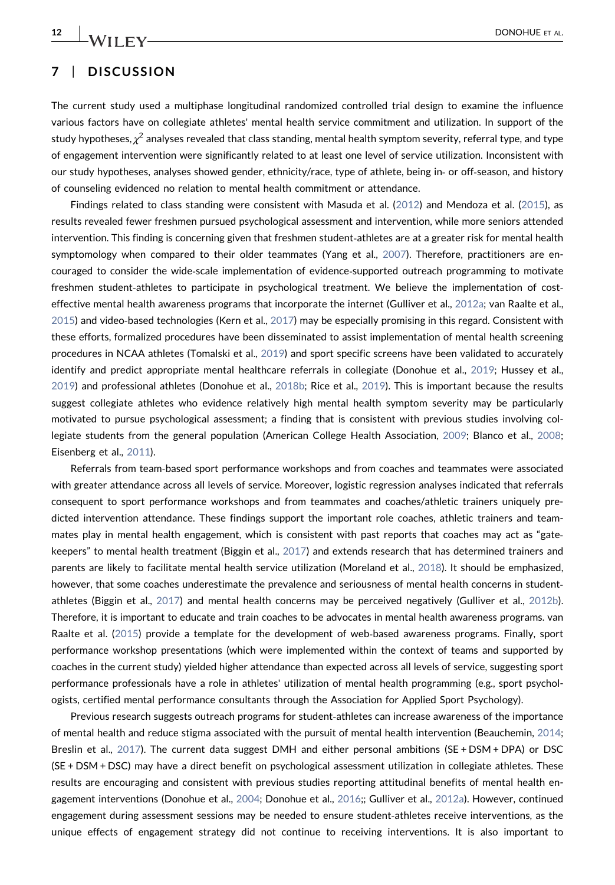# 7 | DISCUSSION

The current study used a multiphase longitudinal randomized controlled trial design to examine the influence various factors have on collegiate athletes' mental health service commitment and utilization. In support of the study hypotheses,  $\chi^2$  analyses revealed that class standing, mental health symptom severity, referral type, and type of engagement intervention were significantly related to at least one level of service utilization. Inconsistent with our study hypotheses, analyses showed gender, ethnicity/race, type of athlete, being in‐ or off‐season, and history of counseling evidenced no relation to mental health commitment or attendance.

Findings related to class standing were consistent with Masuda et al. [\(2012\)](#page-15-13) and Mendoza et al. [\(2015\)](#page-15-14), as results revealed fewer freshmen pursued psychological assessment and intervention, while more seniors attended intervention. This finding is concerning given that freshmen student‐athletes are at a greater risk for mental health symptomology when compared to their older teammates (Yang et al., [2007](#page-16-15)). Therefore, practitioners are encouraged to consider the wide‐scale implementation of evidence‐supported outreach programming to motivate freshmen student-athletes to participate in psychological treatment. We believe the implementation of costeffective mental health awareness programs that incorporate the internet (Gulliver et al., [2012a](#page-14-5); van Raalte et al., [2015](#page-16-16)) and video‐based technologies (Kern et al., [2017\)](#page-15-19) may be especially promising in this regard. Consistent with these efforts, formalized procedures have been disseminated to assist implementation of mental health screening procedures in NCAA athletes (Tomalski et al., [2019](#page-16-17)) and sport specific screens have been validated to accurately identify and predict appropriate mental healthcare referrals in collegiate (Donohue et al., [2019;](#page-14-17) Hussey et al., [2019](#page-15-20)) and professional athletes (Donohue et al., [2018b](#page-14-18); Rice et al., [2019\)](#page-16-18). This is important because the results suggest collegiate athletes who evidence relatively high mental health symptom severity may be particularly motivated to pursue psychological assessment; a finding that is consistent with previous studies involving collegiate students from the general population (American College Health Association, [2009;](#page-13-6) Blanco et al., [2008](#page-14-19); Eisenberg et al., [2011\)](#page-14-20).

Referrals from team‐based sport performance workshops and from coaches and teammates were associated with greater attendance across all levels of service. Moreover, logistic regression analyses indicated that referrals consequent to sport performance workshops and from teammates and coaches/athletic trainers uniquely predicted intervention attendance. These findings support the important role coaches, athletic trainers and teammates play in mental health engagement, which is consistent with past reports that coaches may act as "gatekeepers" to mental health treatment (Biggin et al., [2017\)](#page-13-4) and extends research that has determined trainers and parents are likely to facilitate mental health service utilization (Moreland et al., [2018](#page-15-4)). It should be emphasized, however, that some coaches underestimate the prevalence and seriousness of mental health concerns in studentathletes (Biggin et al., [2017\)](#page-13-4) and mental health concerns may be perceived negatively (Gulliver et al., [2012b](#page-14-11)). Therefore, it is important to educate and train coaches to be advocates in mental health awareness programs. van Raalte et al. ([2015](#page-16-16)) provide a template for the development of web-based awareness programs. Finally, sport performance workshop presentations (which were implemented within the context of teams and supported by coaches in the current study) yielded higher attendance than expected across all levels of service, suggesting sport performance professionals have a role in athletes' utilization of mental health programming (e.g., sport psychologists, certified mental performance consultants through the Association for Applied Sport Psychology).

Previous research suggests outreach programs for student‐athletes can increase awareness of the importance of mental health and reduce stigma associated with the pursuit of mental health intervention (Beauchemin, [2014](#page-13-7); Breslin et al., [2017\)](#page-14-6). The current data suggest DMH and either personal ambitions (SE + DSM + DPA) or DSC (SE + DSM + DSC) may have a direct benefit on psychological assessment utilization in collegiate athletes. These results are encouraging and consistent with previous studies reporting attitudinal benefits of mental health engagement interventions (Donohue et al., [2004;](#page-14-12) Donohue et al., [2016;](#page-14-13); Gulliver et al., [2012a\)](#page-14-5). However, continued engagement during assessment sessions may be needed to ensure student‐athletes receive interventions, as the unique effects of engagement strategy did not continue to receiving interventions. It is also important to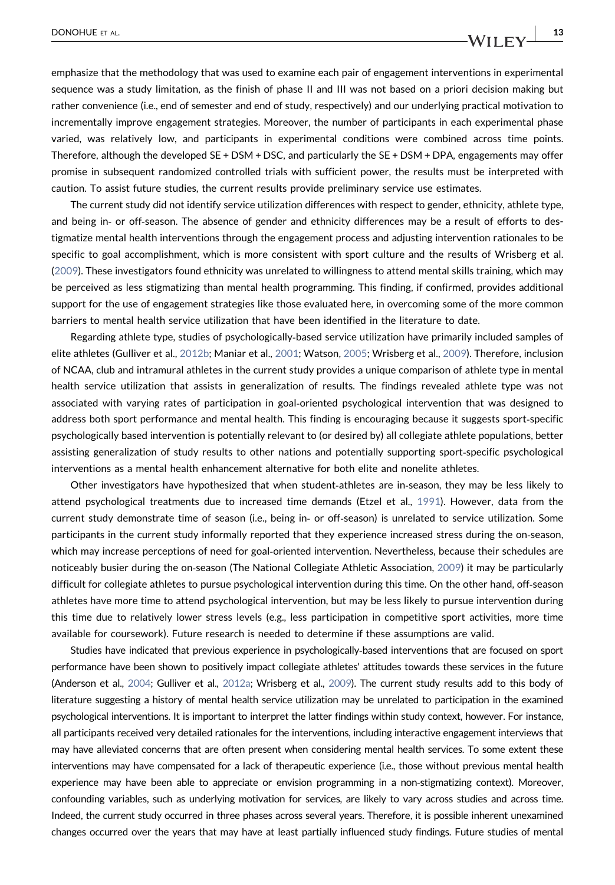emphasize that the methodology that was used to examine each pair of engagement interventions in experimental sequence was a study limitation, as the finish of phase II and III was not based on a priori decision making but rather convenience (i.e., end of semester and end of study, respectively) and our underlying practical motivation to incrementally improve engagement strategies. Moreover, the number of participants in each experimental phase varied, was relatively low, and participants in experimental conditions were combined across time points. Therefore, although the developed SE + DSM + DSC, and particularly the SE + DSM + DPA, engagements may offer promise in subsequent randomized controlled trials with sufficient power, the results must be interpreted with caution. To assist future studies, the current results provide preliminary service use estimates.

The current study did not identify service utilization differences with respect to gender, ethnicity, athlete type, and being in- or off-season. The absence of gender and ethnicity differences may be a result of efforts to destigmatize mental health interventions through the engagement process and adjusting intervention rationales to be specific to goal accomplishment, which is more consistent with sport culture and the results of Wrisberg et al. ([2009\)](#page-16-7). These investigators found ethnicity was unrelated to willingness to attend mental skills training, which may be perceived as less stigmatizing than mental health programming. This finding, if confirmed, provides additional support for the use of engagement strategies like those evaluated here, in overcoming some of the more common barriers to mental health service utilization that have been identified in the literature to date.

Regarding athlete type, studies of psychologically‐based service utilization have primarily included samples of elite athletes (Gulliver et al., [2012b;](#page-14-11) Maniar et al., [2001](#page-15-7); Watson, [2005](#page-16-5); Wrisberg et al., [2009\)](#page-16-7). Therefore, inclusion of NCAA, club and intramural athletes in the current study provides a unique comparison of athlete type in mental health service utilization that assists in generalization of results. The findings revealed athlete type was not associated with varying rates of participation in goal‐oriented psychological intervention that was designed to address both sport performance and mental health. This finding is encouraging because it suggests sport‐specific psychologically based intervention is potentially relevant to (or desired by) all collegiate athlete populations, better assisting generalization of study results to other nations and potentially supporting sport‐specific psychological interventions as a mental health enhancement alternative for both elite and nonelite athletes.

Other investigators have hypothesized that when student‐athletes are in‐season, they may be less likely to attend psychological treatments due to increased time demands (Etzel et al., [1991](#page-14-8)). However, data from the current study demonstrate time of season (i.e., being in‐ or off‐season) is unrelated to service utilization. Some participants in the current study informally reported that they experience increased stress during the on‐season, which may increase perceptions of need for goal-oriented intervention. Nevertheless, because their schedules are noticeably busier during the on‐season (The National Collegiate Athletic Association, [2009](#page-16-9)) it may be particularly difficult for collegiate athletes to pursue psychological intervention during this time. On the other hand, off‐season athletes have more time to attend psychological intervention, but may be less likely to pursue intervention during this time due to relatively lower stress levels (e.g., less participation in competitive sport activities, more time available for coursework). Future research is needed to determine if these assumptions are valid.

Studies have indicated that previous experience in psychologically‐based interventions that are focused on sport performance have been shown to positively impact collegiate athletes' attitudes towards these services in the future (Anderson et al., [2004;](#page-13-1) Gulliver et al., [2012a](#page-14-5); Wrisberg et al., [2009\)](#page-16-7). The current study results add to this body of literature suggesting a history of mental health service utilization may be unrelated to participation in the examined psychological interventions. It is important to interpret the latter findings within study context, however. For instance, all participants received very detailed rationales for the interventions, including interactive engagement interviews that may have alleviated concerns that are often present when considering mental health services. To some extent these interventions may have compensated for a lack of therapeutic experience (i.e., those without previous mental health experience may have been able to appreciate or envision programming in a non‐stigmatizing context). Moreover, confounding variables, such as underlying motivation for services, are likely to vary across studies and across time. Indeed, the current study occurred in three phases across several years. Therefore, it is possible inherent unexamined changes occurred over the years that may have at least partially influenced study findings. Future studies of mental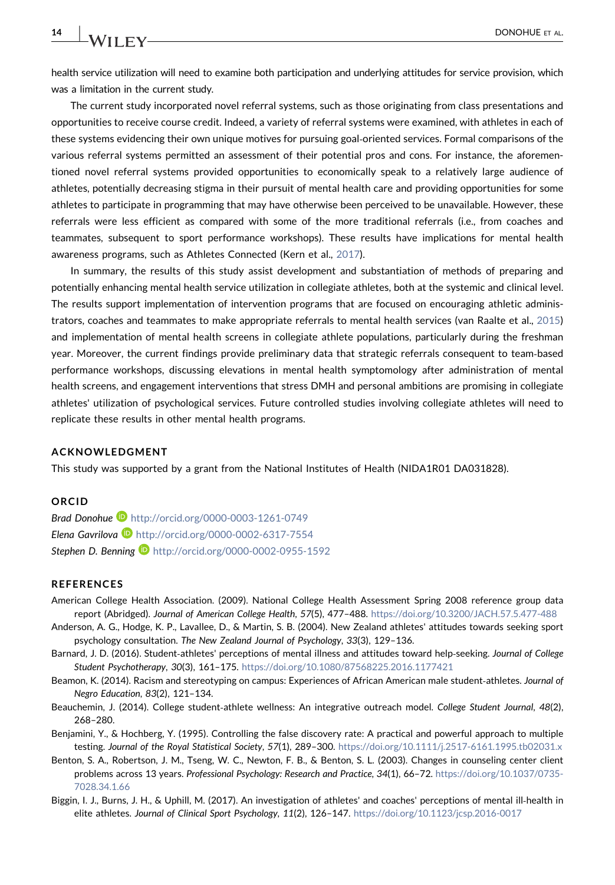health service utilization will need to examine both participation and underlying attitudes for service provision, which was a limitation in the current study.

The current study incorporated novel referral systems, such as those originating from class presentations and opportunities to receive course credit. Indeed, a variety of referral systems were examined, with athletes in each of these systems evidencing their own unique motives for pursuing goal‐oriented services. Formal comparisons of the various referral systems permitted an assessment of their potential pros and cons. For instance, the aforementioned novel referral systems provided opportunities to economically speak to a relatively large audience of athletes, potentially decreasing stigma in their pursuit of mental health care and providing opportunities for some athletes to participate in programming that may have otherwise been perceived to be unavailable. However, these referrals were less efficient as compared with some of the more traditional referrals (i.e., from coaches and teammates, subsequent to sport performance workshops). These results have implications for mental health awareness programs, such as Athletes Connected (Kern et al., [2017\)](#page-15-19).

In summary, the results of this study assist development and substantiation of methods of preparing and potentially enhancing mental health service utilization in collegiate athletes, both at the systemic and clinical level. The results support implementation of intervention programs that are focused on encouraging athletic administrators, coaches and teammates to make appropriate referrals to mental health services (van Raalte et al., [2015\)](#page-16-16) and implementation of mental health screens in collegiate athlete populations, particularly during the freshman year. Moreover, the current findings provide preliminary data that strategic referrals consequent to team‐based performance workshops, discussing elevations in mental health symptomology after administration of mental health screens, and engagement interventions that stress DMH and personal ambitions are promising in collegiate athletes' utilization of psychological services. Future controlled studies involving collegiate athletes will need to replicate these results in other mental health programs.

#### ACKNOWLEDGMENT

This study was supported by a grant from the National Institutes of Health (NIDA1R01 DA031828).

#### **ORCID**

Brad Donohue  $\blacksquare$  <http://orcid.org/0000-0003-1261-0749> Elena Gavrilova  $\bullet$  <http://orcid.org/0000-0002-6317-7554> Stephen D. Benning **D** <http://orcid.org/0000-0002-0955-1592>

#### REFERENCES

- <span id="page-13-6"></span>American College Health Association. (2009). National College Health Assessment Spring 2008 reference group data report (Abridged). Journal of American College Health, 57(5), 477–488. <https://doi.org/10.3200/JACH.57.5.477-488>
- <span id="page-13-1"></span>Anderson, A. G., Hodge, K. P., Lavallee, D., & Martin, S. B. (2004). New Zealand athletes' attitudes towards seeking sport psychology consultation. The New Zealand Journal of Psychology, 33(3), 129–136.
- <span id="page-13-0"></span>Barnard, J. D. (2016). Student‐athletes' perceptions of mental illness and attitudes toward help‐seeking. Journal of College Student Psychotherapy, 30(3), 161–175. <https://doi.org/10.1080/87568225.2016.1177421>
- <span id="page-13-2"></span>Beamon, K. (2014). Racism and stereotyping on campus: Experiences of African American male student-athletes. Journal of Negro Education, 83(2), 121–134.
- <span id="page-13-7"></span>Beauchemin, J. (2014). College student‐athlete wellness: An integrative outreach model. College Student Journal, 48(2), 268–280.
- <span id="page-13-5"></span>Benjamini, Y., & Hochberg, Y. (1995). Controlling the false discovery rate: A practical and powerful approach to multiple testing. Journal of the Royal Statistical Society, 57(1), 289-300. <https://doi.org/10.1111/j.2517-6161.1995.tb02031.x>
- <span id="page-13-3"></span>Benton, S. A., Robertson, J. M., Tseng, W. C., Newton, F. B., & Benton, S. L. (2003). Changes in counseling center client problems across 13 years. Professional Psychology: Research and Practice, 34(1), 66–72. [https://doi.org/10.1037/0735-](https://doi.org/10.1037/0735-7028.34.1.66) [7028.34.1.66](https://doi.org/10.1037/0735-7028.34.1.66)
- <span id="page-13-4"></span>Biggin, I. J., Burns, J. H., & Uphill, M. (2017). An investigation of athletes' and coaches' perceptions of mental ill‐health in elite athletes. Journal of Clinical Sport Psychology, 11(2), 126-147. <https://doi.org/10.1123/jcsp.2016-0017>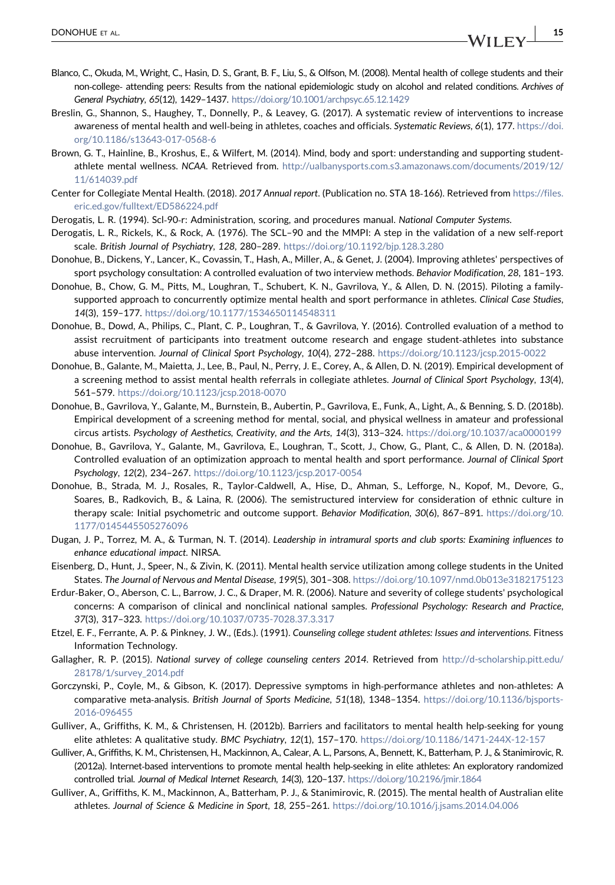- <span id="page-14-19"></span>Blanco, C., Okuda, M., Wright, C., Hasin, D. S., Grant, B. F., Liu, S., & Olfson, M. (2008). Mental health of college students and their non‐college‐ attending peers: Results from the national epidemiologic study on alcohol and related conditions. Archives of General Psychiatry, 65(12), 1429–1437. <https://doi.org/10.1001/archpsyc.65.12.1429>
- <span id="page-14-6"></span>Breslin, G., Shannon, S., Haughey, T., Donnelly, P., & Leavey, G. (2017). A systematic review of interventions to increase awareness of mental health and well‐being in athletes, coaches and officials. Systematic Reviews, 6(1), 177. [https://doi.](https://doi.org/10.1186/s13643-017-0568-6) [org/10.1186/s13643-017-0568-6](https://doi.org/10.1186/s13643-017-0568-6)
- <span id="page-14-4"></span>Brown, G. T., Hainline, B., Kroshus, E., & Wilfert, M. (2014). Mind, body and sport: understanding and supporting student‐ athlete mental wellness. NCAA. Retrieved from. [http://ualbanysports.com.s3.amazonaws.com/documents/2019/12/](http://ualbanysports.com.s3.amazonaws.com/documents/2019/12/11/614039.pdf) [11/614039.pdf](http://ualbanysports.com.s3.amazonaws.com/documents/2019/12/11/614039.pdf)
- <span id="page-14-7"></span>Center for Collegiate Mental Health. (2018). 2017 Annual report. (Publication no. STA 18‐166). Retrieved from [https://files.](https://files.eric.ed.gov/fulltext/ED586224.pdf) [eric.ed.gov/fulltext/ED586224.pdf](https://files.eric.ed.gov/fulltext/ED586224.pdf)
- <span id="page-14-16"></span>Derogatis, L. R. (1994). Scl‐90‐r: Administration, scoring, and procedures manual. National Computer Systems.
- <span id="page-14-14"></span>Derogatis, L. R., Rickels, K., & Rock, A. (1976). The SCL–90 and the MMPI: A step in the validation of a new self‐report scale. British Journal of Psychiatry, 128, 280–289. <https://doi.org/10.1192/bjp.128.3.280>
- <span id="page-14-12"></span>Donohue, B., Dickens, Y., Lancer, K., Covassin, T., Hash, A., Miller, A., & Genet, J. (2004). Improving athletes' perspectives of sport psychology consultation: A controlled evaluation of two interview methods. Behavior Modification, 28, 181–193.
- Donohue, B., Chow, G. M., Pitts, M., Loughran, T., Schubert, K. N., Gavrilova, Y., & Allen, D. N. (2015). Piloting a family‐ supported approach to concurrently optimize mental health and sport performance in athletes. Clinical Case Studies, 14(3), 159–177. <https://doi.org/10.1177/1534650114548311>
- <span id="page-14-13"></span>Donohue, B., Dowd, A., Philips, C., Plant, C. P., Loughran, T., & Gavrilova, Y. (2016). Controlled evaluation of a method to assist recruitment of participants into treatment outcome research and engage student‐athletes into substance abuse intervention. Journal of Clinical Sport Psychology, 10(4), 272–288. <https://doi.org/10.1123/jcsp.2015-0022>
- <span id="page-14-17"></span>Donohue, B., Galante, M., Maietta, J., Lee, B., Paul, N., Perry, J. E., Corey, A., & Allen, D. N. (2019). Empirical development of a screening method to assist mental health referrals in collegiate athletes. Journal of Clinical Sport Psychology, 13(4), 561–579. <https://doi.org/10.1123/jcsp.2018-0070>
- <span id="page-14-18"></span>Donohue, B., Gavrilova, Y., Galante, M., Burnstein, B., Aubertin, P., Gavrilova, E., Funk, A., Light, A., & Benning, S. D. (2018b). Empirical development of a screening method for mental, social, and physical wellness in amateur and professional circus artists. Psychology of Aesthetics, Creativity, and the Arts, 14(3), 313–324. <https://doi.org/10.1037/aca0000199>
- <span id="page-14-1"></span>Donohue, B., Gavrilova, Y., Galante, M., Gavrilova, E., Loughran, T., Scott, J., Chow, G., Plant, C., & Allen, D. N. (2018a). Controlled evaluation of an optimization approach to mental health and sport performance. Journal of Clinical Sport Psychology, 12(2), 234–267. <https://doi.org/10.1123/jcsp.2017-0054>
- <span id="page-14-15"></span>Donohue, B., Strada, M. J., Rosales, R., Taylor‐Caldwell, A., Hise, D., Ahman, S., Lefforge, N., Kopof, M., Devore, G., Soares, B., Radkovich, B., & Laina, R. (2006). The semistructured interview for consideration of ethnic culture in therapy scale: Initial psychometric and outcome support. Behavior Modification, 30(6), 867-891. [https://doi.org/10.](https://doi.org/10.1177/0145445505276096) [1177/0145445505276096](https://doi.org/10.1177/0145445505276096)
- <span id="page-14-0"></span>Dugan, J. P., Torrez, M. A., & Turman, N. T. (2014). Leadership in intramural sports and club sports: Examining influences to enhance educational impact. NIRSA.
- <span id="page-14-20"></span>Eisenberg, D., Hunt, J., Speer, N., & Zivin, K. (2011). Mental health service utilization among college students in the United States. The Journal of Nervous and Mental Disease, 199(5), 301–308. <https://doi.org/10.1097/nmd.0b013e3182175123>
- <span id="page-14-10"></span>Erdur‐Baker, O., Aberson, C. L., Barrow, J. C., & Draper, M. R. (2006). Nature and severity of college students' psychological concerns: A comparison of clinical and nonclinical national samples. Professional Psychology: Research and Practice, 37(3), 317–323. <https://doi.org/10.1037/0735-7028.37.3.317>
- <span id="page-14-8"></span>Etzel, E. F., Ferrante, A. P. & Pinkney, J. W., (Eds.). (1991). Counseling college student athletes: Issues and interventions. Fitness Information Technology.
- <span id="page-14-9"></span>Gallagher, R. P. (2015). National survey of college counseling centers 2014. Retrieved from [http://d-scholarship.pitt.edu/](http://d-scholarship.pitt.edu/28178/1/survey_2014.pdf) [28178/1/survey\\_2014.pdf](http://d-scholarship.pitt.edu/28178/1/survey_2014.pdf)
- <span id="page-14-2"></span>Gorczynski, P., Coyle, M., & Gibson, K. (2017). Depressive symptoms in high‐performance athletes and non‐athletes: A comparative meta-analysis. British Journal of Sports Medicine, 51(18), 1348-1354. [https://doi.org/10.1136/bjsports-](https://doi.org/10.1136/bjsports-2016-096455)[2016-096455](https://doi.org/10.1136/bjsports-2016-096455)
- <span id="page-14-11"></span>Gulliver, A., Griffiths, K. M., & Christensen, H. (2012b). Barriers and facilitators to mental health help‐seeking for young elite athletes: A qualitative study. BMC Psychiatry, 12(1), 157–170. <https://doi.org/10.1186/1471-244X-12-157>
- <span id="page-14-5"></span>Gulliver, A., Griffiths, K. M., Christensen, H., Mackinnon, A., Calear, A. L., Parsons, A., Bennett, K., Batterham, P. J., & Stanimirovic, R. (2012a). Internet‐based interventions to promote mental health help‐seeking in elite athletes: An exploratory randomized controlled trial. Journal of Medical Internet Research, 14(3), 120–137. <https://doi.org/10.2196/jmir.1864>
- <span id="page-14-3"></span>Gulliver, A., Griffiths, K. M., Mackinnon, A., Batterham, P. J., & Stanimirovic, R. (2015). The mental health of Australian elite athletes. Journal of Science & Medicine in Sport, 18, 255–261. <https://doi.org/10.1016/j.jsams.2014.04.006>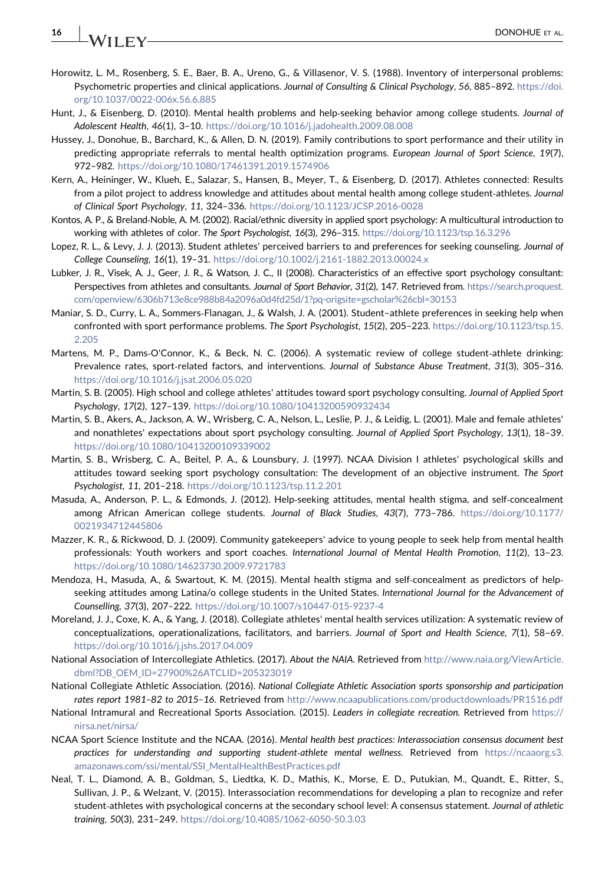# 16 | **IA/II EX/ ICAL CONOHUE** ET AL.

- <span id="page-15-18"></span>Horowitz, L. M., Rosenberg, S. E., Baer, B. A., Ureno, G., & Villasenor, V. S. (1988). Inventory of interpersonal problems: Psychometric properties and clinical applications. Journal of Consulting & Clinical Psychology, 56, 885-892. [https://doi.](https://doi.org/10.1037/0022-006x.56.6.885) [org/10.1037/0022-006x.56.6.885](https://doi.org/10.1037/0022-006x.56.6.885)
- <span id="page-15-16"></span>Hunt, J., & Eisenberg, D. (2010). Mental health problems and help-seeking behavior among college students. Journal of Adolescent Health, 46(1), 3–10. <https://doi.org/10.1016/j.jadohealth.2009.08.008>
- <span id="page-15-20"></span>Hussey, J., Donohue, B., Barchard, K., & Allen, D. N. (2019). Family contributions to sport performance and their utility in predicting appropriate referrals to mental health optimization programs. European Journal of Sport Science, 19(7), 972–982. <https://doi.org/10.1080/17461391.2019.1574906>
- <span id="page-15-19"></span>Kern, A., Heininger, W., Klueh, E., Salazar, S., Hansen, B., Meyer, T., & Eisenberg, D. (2017). Athletes connected: Results from a pilot project to address knowledge and attitudes about mental health among college student-athletes. Journal of Clinical Sport Psychology, 11, 324–336. <https://doi.org/10.1123/JCSP.2016-0028>
- <span id="page-15-11"></span>Kontos, A. P., & Breland‐Noble, A. M. (2002). Racial/ethnic diversity in applied sport psychology: A multicultural introduction to working with athletes of color. The Sport Psychologist, 16(3), 296–315. <https://doi.org/10.1123/tsp.16.3.296>
- <span id="page-15-15"></span>Lopez, R. L., & Levy, J. J. (2013). Student athletes' perceived barriers to and preferences for seeking counseling. Journal of College Counseling, 16(1), 19–31. <https://doi.org/10.1002/j.2161-1882.2013.00024.x>
- <span id="page-15-12"></span>Lubker, J. R., Visek, A. J., Geer, J. R., & Watson, J. C., II (2008). Characteristics of an effective sport psychology consultant: Perspectives from athletes and consultants. Journal of Sport Behavior, 31(2), 147. Retrieved from. [https://search.proquest.](https://search.proquest.com/openview/6306b713e8ce988b84a2096a0d4fd25d/1?pq-origsite=gscholar%26cbl=30153) [com/openview/6306b713e8ce988b84a2096a0d4fd25d/1?pq-origsite=gscholar%26cbl=30153](https://search.proquest.com/openview/6306b713e8ce988b84a2096a0d4fd25d/1?pq-origsite=gscholar%26cbl=30153)
- <span id="page-15-7"></span>Maniar, S. D., Curry, L. A., Sommers‐Flanagan, J., & Walsh, J. A. (2001). Student–athlete preferences in seeking help when confronted with sport performance problems. The Sport Psychologist, 15(2), 205–223. [https://doi.org/10.1123/tsp.15.](https://doi.org/10.1123/tsp.15.2.205) [2.205](https://doi.org/10.1123/tsp.15.2.205)
- <span id="page-15-3"></span>Martens, M. P., Dams‐O'Connor, K., & Beck, N. C. (2006). A systematic review of college student‐athlete drinking: Prevalence rates, sport-related factors, and interventions. Journal of Substance Abuse Treatment, 31(3), 305-316. <https://doi.org/10.1016/j.jsat.2006.05.020>
- <span id="page-15-10"></span>Martin, S. B. (2005). High school and college athletes' attitudes toward sport psychology consulting. Journal of Applied Sport Psychology, 17(2), 127–139. <https://doi.org/10.1080/10413200590932434>
- <span id="page-15-9"></span>Martin, S. B., Akers, A., Jackson, A. W., Wrisberg, C. A., Nelson, L., Leslie, P. J., & Leidig, L. (2001). Male and female athletes' and nonathletes' expectations about sport psychology consulting. Journal of Applied Sport Psychology, 13(1), 18–39. <https://doi.org/10.1080/10413200109339002>
- <span id="page-15-8"></span>Martin, S. B., Wrisberg, C. A., Beitel, P. A., & Lounsbury, J. (1997). NCAA Division I athletes' psychological skills and attitudes toward seeking sport psychology consultation: The development of an objective instrument. The Sport Psychologist, 11, 201–218. <https://doi.org/10.1123/tsp.11.2.201>
- <span id="page-15-13"></span>Masuda, A., Anderson, P. L., & Edmonds, J. (2012). Help‐seeking attitudes, mental health stigma, and self‐concealment among African American college students. Journal of Black Studies, 43(7), 773–786. [https://doi.org/10.1177/](https://doi.org/10.1177/0021934712445806) [0021934712445806](https://doi.org/10.1177/0021934712445806)
- <span id="page-15-17"></span>Mazzer, K. R., & Rickwood, D. J. (2009). Community gatekeepers' advice to young people to seek help from mental health professionals: Youth workers and sport coaches. International Journal of Mental Health Promotion, 11(2), 13–23. <https://doi.org/10.1080/14623730.2009.9721783>
- <span id="page-15-14"></span>Mendoza, H., Masuda, A., & Swartout, K. M. (2015). Mental health stigma and self‐concealment as predictors of help‐ seeking attitudes among Latina/o college students in the United States. International Journal for the Advancement of Counselling, 37(3), 207–222. <https://doi.org/10.1007/s10447-015-9237-4>
- <span id="page-15-4"></span>Moreland, J. J., Coxe, K. A., & Yang, J. (2018). Collegiate athletes' mental health services utilization: A systematic review of conceptualizations, operationalizations, facilitators, and barriers. Journal of Sport and Health Science, 7(1), 58–69. <https://doi.org/10.1016/j.jshs.2017.04.009>
- <span id="page-15-0"></span>National Association of Intercollegiate Athletics. (2017). About the NAIA. Retrieved from [http://www.naia.org/ViewArticle.](http://www.naia.org/ViewArticle.dbml?DB_OEM_ID=27900%26ATCLID=205323019) [dbml?DB\\_OEM\\_ID=27900%26ATCLID=205323019](http://www.naia.org/ViewArticle.dbml?DB_OEM_ID=27900%26ATCLID=205323019)
- <span id="page-15-1"></span>National Collegiate Athletic Association. (2016). National Collegiate Athletic Association sports sponsorship and participation rates report 1981-82 to 2015-16. Retrieved from <http://www.ncaapublications.com/productdownloads/PR1516.pdf>
- <span id="page-15-2"></span>National Intramural and Recreational Sports Association. (2015). Leaders in collegiate recreation. Retrieved from [https://](https://nirsa.net/nirsa/) [nirsa.net/nirsa/](https://nirsa.net/nirsa/)
- <span id="page-15-5"></span>NCAA Sport Science Institute and the NCAA. (2016). Mental health best practices: Interassociation consensus document best practices for understanding and supporting student-athlete mental wellness. Retrieved from [https://ncaaorg.s3.](https://ncaaorg.s3.amazonaws.com/ssi/mental/SSI_MentalHealthBestPractices.pdf) [amazonaws.com/ssi/mental/SSI\\_MentalHealthBestPractices.pdf](https://ncaaorg.s3.amazonaws.com/ssi/mental/SSI_MentalHealthBestPractices.pdf)
- <span id="page-15-6"></span>Neal, T. L., Diamond, A. B., Goldman, S., Liedtka, K. D., Mathis, K., Morse, E. D., Putukian, M., Quandt, E., Ritter, S., Sullivan, J. P., & Welzant, V. (2015). Interassociation recommendations for developing a plan to recognize and refer student-athletes with psychological concerns at the secondary school level: A consensus statement. Journal of athletic training, 50(3), 231–249. <https://doi.org/10.4085/1062-6050-50.3.03>